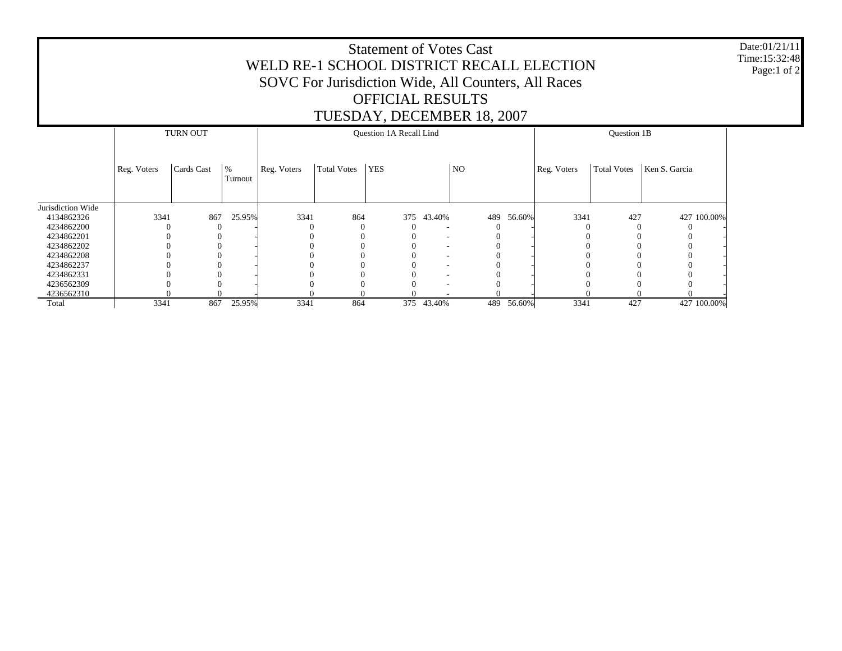## Statement of Votes Cast WELD RE-1 SCHOOL DISTRICT RECALL ELECTION SOVC For Jurisdiction Wide, All Counters, All Races OFFICIAL RESULTS TUESDAY, DECEMBER 18, 2007

Date:01/21/11 Time:15:32:48Page:1 of 2

|                   | <b>TURN OUT</b> |            |                 | Question 1A Recall Lind |                    |            |        |                |        | Question 1B |                    |               |  |
|-------------------|-----------------|------------|-----------------|-------------------------|--------------------|------------|--------|----------------|--------|-------------|--------------------|---------------|--|
|                   | Reg. Voters     | Cards Cast | $\%$<br>Turnout | Reg. Voters             | <b>Total Votes</b> | <b>YES</b> |        | N <sub>O</sub> |        | Reg. Voters | <b>Total Votes</b> | Ken S. Garcia |  |
| Jurisdiction Wide |                 |            |                 |                         |                    |            |        |                |        |             |                    |               |  |
| 4134862326        | 3341            | 867        | 25.95%          | 3341                    | 864                | 375        | 43.40% | 489            | 56.60% | 3341        | 427                | 427 100.00%   |  |
| 4234862200        | $\theta$        | $\Omega$   |                 |                         |                    |            | ٠      |                |        |             | $\Omega$           | 0             |  |
| 4234862201        |                 |            |                 |                         |                    |            | ٠      |                |        |             |                    | 0             |  |
| 4234862202        |                 |            |                 |                         |                    |            | ۰      |                |        |             |                    |               |  |
| 4234862208        |                 |            |                 |                         |                    |            | ٠      |                |        |             |                    |               |  |
| 4234862237        |                 |            |                 |                         |                    |            | ٠      |                |        |             |                    |               |  |
| 4234862331        |                 |            |                 |                         |                    |            | ۰      |                |        |             |                    |               |  |
| 4236562309        |                 |            |                 |                         |                    |            |        |                |        |             |                    |               |  |
| 4236562310        |                 |            |                 |                         |                    |            |        |                |        |             |                    |               |  |
| Total             | 3341            | 867        | 25.95%          | 3341                    | 864                | 375        | 43.40% | 489            | 56.60% | 3341        | 427                | 427 100.00%   |  |